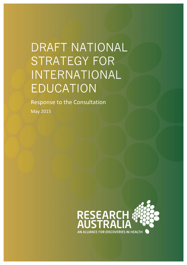# DRAFT NATIONAL STRATEGY FOR INTERNATIONAL EDUCATION

Response to the Consultation

May 2015

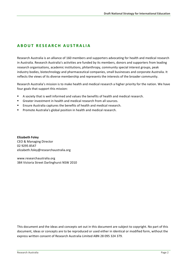#### **ABOUT RESEARCH AUSTR ALIA**

Research Australia is an alliance of 160 members and supporters advocating for health and medical research in Australia. Research Australia's activities are funded by its members, donors and supporters from leading research organisations, academic institutions, philanthropy, community special interest groups, peak industry bodies, biotechnology and pharmaceutical companies, small businesses and corporate Australia. It reflects the views of its diverse membership and represents the interests of the broader community.

Research Australia's mission is to make health and medical research a higher priority for the nation. We have four goals that support this mission:

- A society that is well informed and values the benefits of health and medical research.
- Greater investment in health and medical research from all sources.
- Ensure Australia captures the benefits of health and medical research.
- Promote Australia's global position in health and medical research.

**Elizabeth Foley** CEO & Managing Director 02 9295 8547 elizabeth.foley@researchaustralia.org

www.researchaustralia.org 384 Victoria Street Darlinghurst NSW 2010

This document and the ideas and concepts set out in this document are subject to copyright. No part of this document, ideas or concepts are to be reproduced or used either in identical or modified form, without the express written consent of Research Australia Limited ABN 28 095 324 379.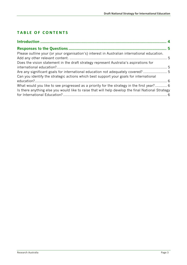### **TABLE OF CONTENTS**

| Please outline your (or your organisation's) interest in Australian international education.      |  |
|---------------------------------------------------------------------------------------------------|--|
|                                                                                                   |  |
| Does the vision statement in the draft strategy represent Australia's aspirations for             |  |
|                                                                                                   |  |
| Are any significant goals for international education not adequately covered?                     |  |
| Can you identify the strategic actions which best support your goals for international            |  |
|                                                                                                   |  |
| What would you like to see progressed as a priority for the strategy in the first year? 6         |  |
| Is there anything else you would like to raise that will help develop the final National Strategy |  |
|                                                                                                   |  |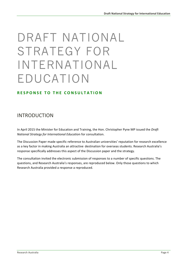# DRAFT NATIONAL STRATEGY FOR INTERNATIONAL EDUCATION

#### **RESPONSE TO THE CONSULTATION**

### INTRODUCTION

In April 2015 the Minister for Education and Training, the Hon. Christopher Pyne MP issued the *Draft National Strategy for International Education for consultation.* 

The Discussion Paper made specific reference to Australian universities' reputation for research excellence as a key factor in making Australia an attractive destination for overseas students. Research Australia's response specifically addresses this aspect of the Discussion paper and the strategy.

The consultation invited the electronic submission of responses to a number of specific questions. The questions, and Research Australia's responses, are reproduced below. Only those questions to which Research Australia provided a response a reproduced.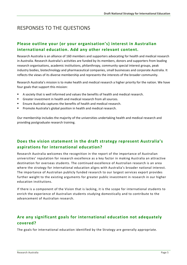## **RESPONSES TO THE QUESTIONS**

#### **Please outline your (or your organisation's) interest in Australian** international education. Add any other relevant content.

Research Australia is an alliance of 160 members and supporters advocating for health and medical research in Australia. Research Australia's activities are funded by its members, donors and supporters from leading research organisations, academic institutions, philanthropy, community special interest groups, peak industry bodies, biotechnology and pharmaceutical companies, small businesses and corporate Australia. It reflects the views of its diverse membership and represents the interests of the broader community.

Research Australia's mission is to make health and medical research a higher priority for the nation. We have four goals that support this mission:

- A society that is well informed and values the benefits of health and medical research.
- Greater investment in health and medical research from all sources.
- Ensure Australia captures the benefits of health and medical research.
- Promote Australia's global position in health and medical research.

Our membership includes the majority of the universities undertaking health and medical research and providing postgraduate research training.

#### **Does the vision statement in the draft strategy represent Australia's aspirations for international education?**

Research Australia welcomes the recognition in the report of the importance of Australian universities' reputation for research excellence as a key factor in making Australia an attractive destination for overseas students. The continued excellence of Australian research is an area where the strategy for international education aligns with Australia's broader national interest. The importance of Australian publicly funded research to our largest services export provides further weight to the existing arguments for greater public investment in research in our higher education institutions.

If there is a component of the Vision that is lacking, it is the scope for international students to enrich the experience of Australian students studying domestically and to contribute to the advancement of Australian research.

#### Are any significant goals for international education not adequately **covered?**

The goals for international education identified by the Strategy are generally appropriate.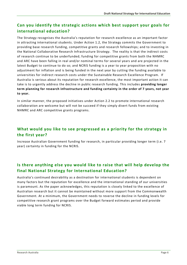#### Can you identify the strategic actions which best support your goals for **international education?**

The Strategy recognises the Australia's reputation for research excellence as an important factor in attracting international students. Under Action 1.2, the Strategy commits the Government to providing base research funding, competitive grants and research fellowships; and to investing in the National Collaborative Research Infrastructure Strategy. The reality is that the indirect costs of research continue to be underfunded; funding for competitive grants from both the NHMRC and ARC have been falling in real and/or nominal terms for several years and are projected in the latest Budget to continue to do so; and NCRIS funding is a year to year proposition with no adjustment for inflation and is being funded in the next year by cutting the funding available to universities for indirect research costs under the Sustainable Research Excellence Program. If Australia is serious about its reputation for research excellence, the most important action it can take is to urgently address the decline in public research funding. This includes *providing longer* term planning for research infrastructure and funding certainty in the order of 7 years, not year **to year.**

In similar manner, the proposed initiatives under Action 2.2 to promote international research collaboration are welcome but will not be succeed if they simply divert funds from existing NHMRC and ARC competitive grants programs.

#### **What would you like to see progressed as a priority for the strategy in the first year?**

Increase Australian Government funding for research, in particular providing longer term (i.e. 7 year) certainty in funding for the NCRIS.

#### Is there anything else you would like to raise that will help develop the **final National Strategy for International Education?**

Australia's continued desirability as a destination for international students is dependent on many factors but the reputation for excellence and the international standing of our universities is paramount. As the paper acknowledges, this reputation is closely linked to the excellence of Australian research but it cannot be maintained without more support from the Commonwealth Government. At a minimum, the Government needs to reverse the decline in funding levels for competitive research grant programs over the Budget forward estimates period and provide viable long term funding for NCRIS.